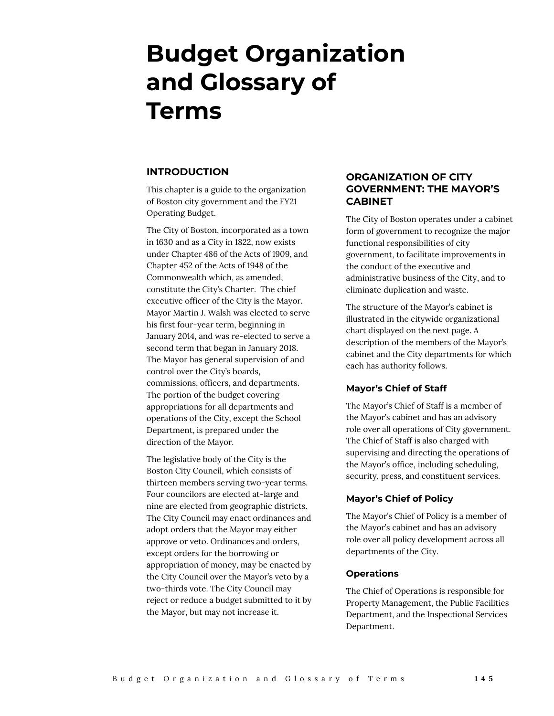# **Budget Organization and Glossary of Terms**

#### **INTRODUCTION**

This chapter is a guide to the organization of Boston city government and the FY21 Operating Budget.

The City of Boston, incorporated as a town in 1630 and as a City in 1822, now exists under Chapter 486 of the Acts of 1909, and Chapter 452 of the Acts of 1948 of the Commonwealth which, as amended, constitute the City's Charter. The chief executive officer of the City is the Mayor. Mayor Martin J. Walsh was elected to serve his first four-year term, beginning in January 2014, and was re-elected to serve a second term that began in January 2018. The Mayor has general supervision of and control over the City's boards, commissions, officers, and departments. The portion of the budget covering appropriations for all departments and operations of the City, except the School Department, is prepared under the direction of the Mayor.

The legislative body of the City is the Boston City Council, which consists of thirteen members serving two-year terms. Four councilors are elected at-large and nine are elected from geographic districts. The City Council may enact ordinances and adopt orders that the Mayor may either approve or veto. Ordinances and orders, except orders for the borrowing or appropriation of money, may be enacted by the City Council over the Mayor's veto by a two-thirds vote. The City Council may reject or reduce a budget submitted to it by the Mayor, but may not increase it.

# **ORGANIZATION OF CITY GOVERNMENT: THE MAYOR'S CABINET**

The City of Boston operates under a cabinet form of government to recognize the major functional responsibilities of city government, to facilitate improvements in the conduct of the executive and administrative business of the City, and to eliminate duplication and waste.

The structure of the Mayor's cabinet is illustrated in the citywide organizational chart displayed on the next page. A description of the members of the Mayor's cabinet and the City departments for which each has authority follows.

#### **Mayor's Chief of Staff**

The Mayor's Chief of Staff is a member of the Mayor's cabinet and has an advisory role over all operations of City government. The Chief of Staff is also charged with supervising and directing the operations of the Mayor's office, including scheduling, security, press, and constituent services.

#### **Mayor's Chief of Policy**

The Mayor's Chief of Policy is a member of the Mayor's cabinet and has an advisory role over all policy development across all departments of the City.

#### **Operations**

The Chief of Operations is responsible for Property Management, the Public Facilities Department, and the Inspectional Services Department.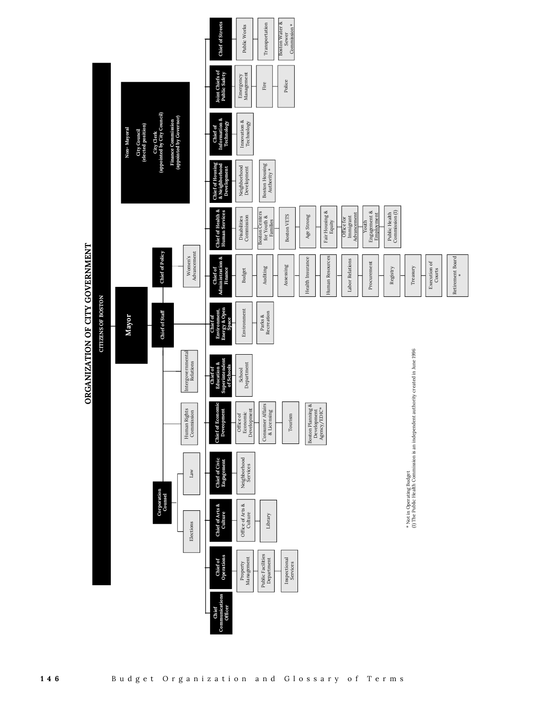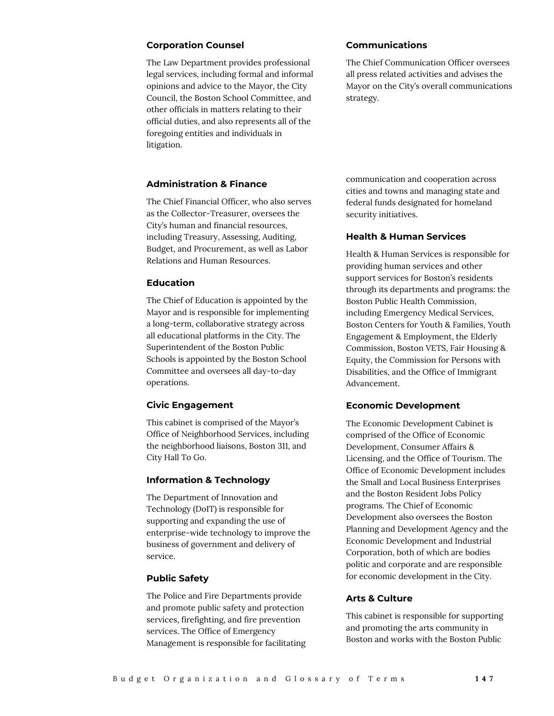#### **Corporation Counsel**

The Law Department provides professional legal services, including formal and informal opinions and advice to the Mayor, the City Council, the Boston School Committee, and other officials in matters relating to their official duties, and also represents all of the foregoing entities and individuals in litigation.

#### **Communications**

The Chief Communication Officer oversees all press related activities and advises the Mayor on the City's overall communications strategy.

# **Administration & Finance**

The Chief Financial Officer, who also serves as the Collector-Treasurer, oversees the City's human and financial resources, including Treasury, Assessing, Auditing, Budget, and Procurement, as well as Labor Relations and Human Resources.

#### **Education**

The Chief of Education is appointed by the Mayor and is responsible for implementing a long-term, collaborative strategy across all educational platforms in the City. The Superintendent of the Boston Public Schools is appointed by the Boston School Committee and oversees all day-to-day operations.

#### **Civic Engagement**

This cabinet is comprised of the Mayor's Office of Neighborhood Services, including the neighborhood liaisons, Boston 311, and City Hall To Go.

#### **Information & Technology**

The Department of Innovation and Technology (DoIT) is responsible for supporting and expanding the use of enterprise-wide technology to improve the business of government and delivery of service.

#### **Public Safety**

The Police and Fire Departments provide and promote public safety and protection services, firefighting, and fire prevention services. The Office of Emergency Management is responsible for facilitating communication and cooperation across cities and towns and managing state and federal funds designated for homeland security initiatives.

#### **Health & Human Services**

Health & Human Services is responsible for providing human services and other support services for Boston's residents through its departments and programs: the Boston Public Health Commission, including Emergency Medical Services, Boston Centers for Youth & Families, Youth Engagement & Employment, the Elderly Commission, Boston VETS, Fair Housing & Equity, the Commission for Persons with Disabilities, and the Office of Immigrant Advancement.

#### **Economic Development**

The Economic Development Cabinet is comprised of the Office of Economic Development, Consumer Affairs & Licensing, and the Office of Tourism. The Office of Economic Development includes the Small and Local Business Enterprises and the Boston Resident Jobs Policy programs. The Chief of Economic Development also oversees the Boston Planning and Development Agency and the Economic Development and Industrial Corporation, both of which are bodies politic and corporate and are responsible for economic development in the City.

#### **Arts & Culture**

This cabinet is responsible for supporting and promoting the arts community in Boston and works with the Boston Public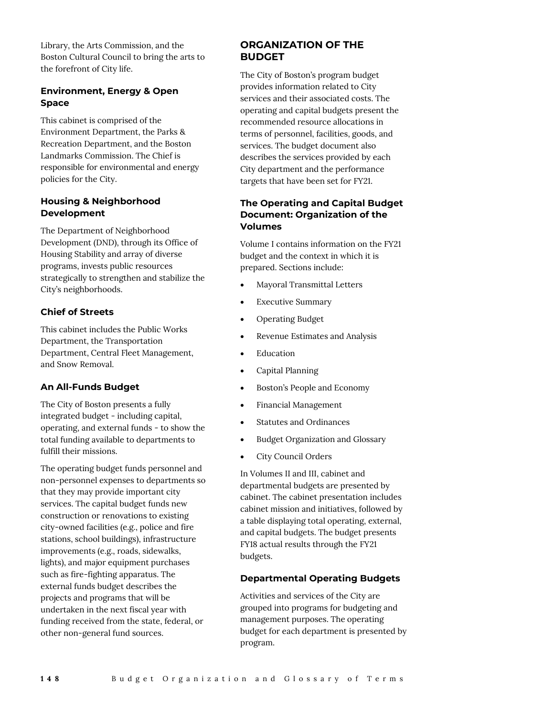Library, the Arts Commission, and the Boston Cultural Council to bring the arts to the forefront of City life.

### **Environment, Energy & Open Space**

This cabinet is comprised of the Environment Department, the Parks & Recreation Department, and the Boston Landmarks Commission. The Chief is responsible for environmental and energy policies for the City.

### **Housing & Neighborhood Development**

The Department of Neighborhood Development (DND), through its Office of Housing Stability and array of diverse programs, invests public resources strategically to strengthen and stabilize the City's neighborhoods.

# **Chief of Streets**

This cabinet includes the Public Works Department, the Transportation Department, Central Fleet Management, and Snow Removal.

#### **An All-Funds Budget**

The City of Boston presents a fully integrated budget - including capital, operating, and external funds - to show the total funding available to departments to fulfill their missions.

The operating budget funds personnel and non-personnel expenses to departments so that they may provide important city services. The capital budget funds new construction or renovations to existing city-owned facilities (e.g., police and fire stations, school buildings), infrastructure improvements (e.g., roads, sidewalks, lights), and major equipment purchases such as fire-fighting apparatus. The external funds budget describes the projects and programs that will be undertaken in the next fiscal year with funding received from the state, federal, or other non-general fund sources.

# **ORGANIZATION OF THE BUDGET**

The City of Boston's program budget provides information related to City services and their associated costs. The operating and capital budgets present the recommended resource allocations in terms of personnel, facilities, goods, and services. The budget document also describes the services provided by each City department and the performance targets that have been set for FY21.

# **The Operating and Capital Budget Document: Organization of the Volumes**

Volume I contains information on the FY21 budget and the context in which it is prepared. Sections include:

- Mayoral Transmittal Letters
- Executive Summary
- Operating Budget
- Revenue Estimates and Analysis
- Education
- Capital Planning
- Boston's People and Economy
- Financial Management
- Statutes and Ordinances
- Budget Organization and Glossary
- City Council Orders

In Volumes II and III, cabinet and departmental budgets are presented by cabinet. The cabinet presentation includes cabinet mission and initiatives, followed by a table displaying total operating, external, and capital budgets. The budget presents FY18 actual results through the FY21 budgets.

### **Departmental Operating Budgets**

Activities and services of the City are grouped into programs for budgeting and management purposes. The operating budget for each department is presented by program.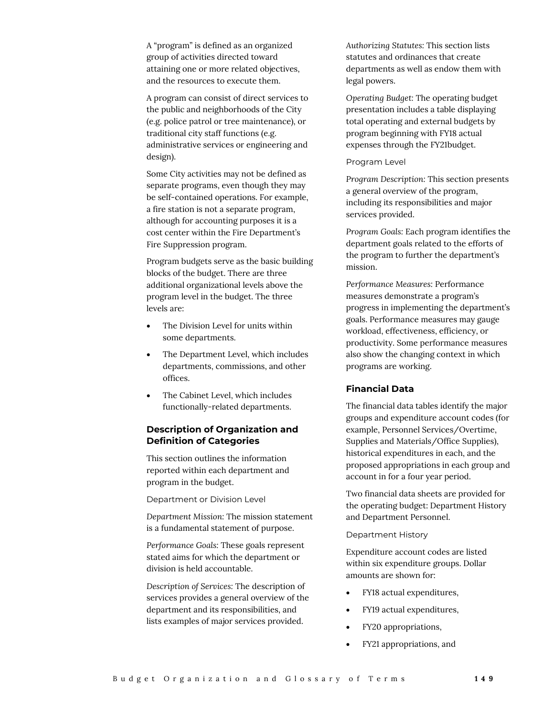A "program" is defined as an organized group of activities directed toward attaining one or more related objectives, and the resources to execute them.

A program can consist of direct services to the public and neighborhoods of the City (e.g. police patrol or tree maintenance), or traditional city staff functions (e.g. administrative services or engineering and design).

Some City activities may not be defined as separate programs, even though they may be self-contained operations. For example, a fire station is not a separate program, although for accounting purposes it is a cost center within the Fire Department's Fire Suppression program.

Program budgets serve as the basic building blocks of the budget. There are three additional organizational levels above the program level in the budget. The three levels are:

- The Division Level for units within some departments.
- The Department Level, which includes departments, commissions, and other offices.
- The Cabinet Level, which includes functionally-related departments.

#### **Description of Organization and Definition of Categories**

This section outlines the information reported within each department and program in the budget.

Department or Division Level

*Department Mission:* The mission statement is a fundamental statement of purpose.

*Performance Goals:* These goals represent stated aims for which the department or division is held accountable.

*Description of Services:* The description of services provides a general overview of the department and its responsibilities, and lists examples of major services provided.

*Authorizing Statutes:* This section lists statutes and ordinances that create departments as well as endow them with legal powers.

*Operating Budget:* The operating budget presentation includes a table displaying total operating and external budgets by program beginning with FY18 actual expenses through the FY21budget.

#### Program Level

*Program Description:* This section presents a general overview of the program, including its responsibilities and major services provided.

*Program Goals:* Each program identifies the department goals related to the efforts of the program to further the department's mission.

*Performance Measures:* Performance measures demonstrate a program's progress in implementing the department's goals. Performance measures may gauge workload, effectiveness, efficiency, or productivity. Some performance measures also show the changing context in which programs are working.

#### **Financial Data**

The financial data tables identify the major groups and expenditure account codes (for example, Personnel Services/Overtime, Supplies and Materials/Office Supplies), historical expenditures in each, and the proposed appropriations in each group and account in for a four year period.

Two financial data sheets are provided for the operating budget: Department History and Department Personnel.

#### Department History

Expenditure account codes are listed within six expenditure groups. Dollar amounts are shown for:

- FY18 actual expenditures,
- FY19 actual expenditures,
- FY20 appropriations,
- FY21 appropriations, and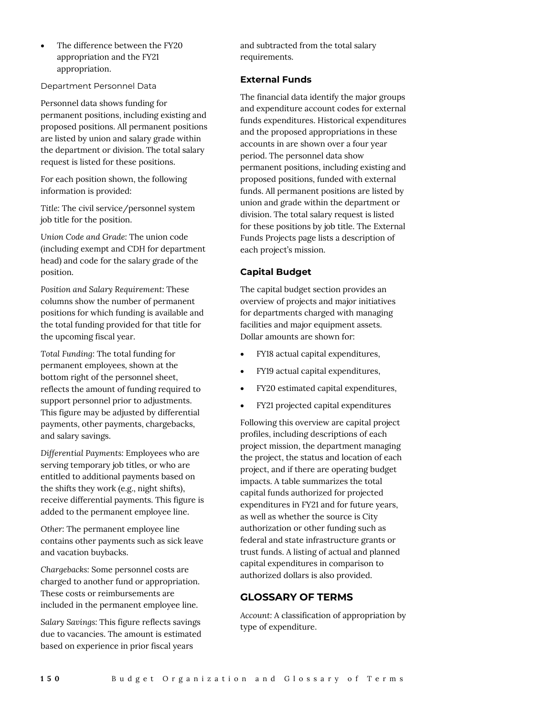The difference between the FY20 appropriation and the FY21 appropriation.

Department Personnel Data

Personnel data shows funding for permanent positions, including existing and proposed positions. All permanent positions are listed by union and salary grade within the department or division. The total salary request is listed for these positions.

For each position shown, the following information is provided:

*Title:* The civil service/personnel system job title for the position.

*Union Code and Grade:* The union code (including exempt and CDH for department head) and code for the salary grade of the position.

*Position and Salary Requirement:* These columns show the number of permanent positions for which funding is available and the total funding provided for that title for the upcoming fiscal year.

*Total Funding:* The total funding for permanent employees, shown at the bottom right of the personnel sheet, reflects the amount of funding required to support personnel prior to adjustments. This figure may be adjusted by differential payments, other payments, chargebacks, and salary savings.

*Differential Payments:* Employees who are serving temporary job titles, or who are entitled to additional payments based on the shifts they work (e.g., night shifts), receive differential payments. This figure is added to the permanent employee line.

*Other:* The permanent employee line contains other payments such as sick leave and vacation buybacks.

*Chargebacks:* Some personnel costs are charged to another fund or appropriation. These costs or reimbursements are included in the permanent employee line.

*Salary Savings:* This figure reflects savings due to vacancies. The amount is estimated based on experience in prior fiscal years

and subtracted from the total salary requirements.

#### **External Funds**

The financial data identify the major groups and expenditure account codes for external funds expenditures. Historical expenditures and the proposed appropriations in these accounts in are shown over a four year period. The personnel data show permanent positions, including existing and proposed positions, funded with external funds. All permanent positions are listed by union and grade within the department or division. The total salary request is listed for these positions by job title. The External Funds Projects page lists a description of each project's mission.

# **Capital Budget**

The capital budget section provides an overview of projects and major initiatives for departments charged with managing facilities and major equipment assets. Dollar amounts are shown for:

- FY18 actual capital expenditures,
- FY19 actual capital expenditures,
- FY20 estimated capital expenditures,
- FY21 projected capital expenditures

Following this overview are capital project profiles, including descriptions of each project mission, the department managing the project, the status and location of each project, and if there are operating budget impacts. A table summarizes the total capital funds authorized for projected expenditures in FY21 and for future years, as well as whether the source is City authorization or other funding such as federal and state infrastructure grants or trust funds. A listing of actual and planned capital expenditures in comparison to authorized dollars is also provided.

# **GLOSSARY OF TERMS**

*Account:* A classification of appropriation by type of expenditure.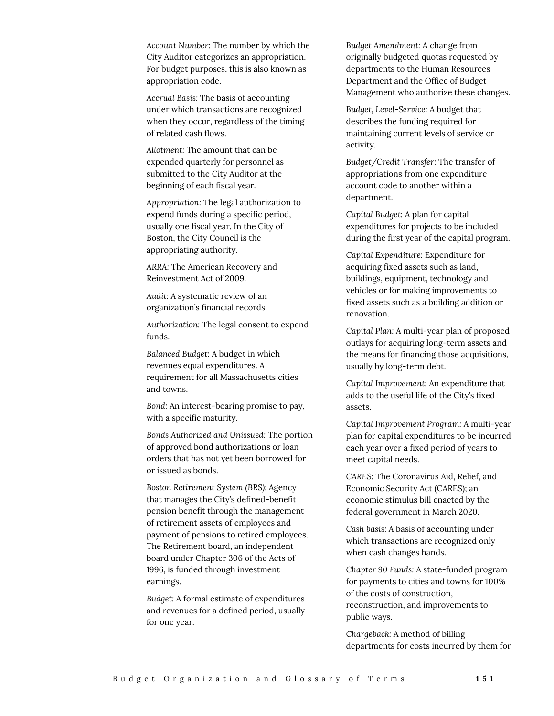*Account Number:* The number by which the City Auditor categorizes an appropriation. For budget purposes, this is also known as appropriation code.

*Accrual Basis:* The basis of accounting under which transactions are recognized when they occur, regardless of the timing of related cash flows.

*Allotment:* The amount that can be expended quarterly for personnel as submitted to the City Auditor at the beginning of each fiscal year.

*Appropriation:* The legal authorization to expend funds during a specific period, usually one fiscal year. In the City of Boston, the City Council is the appropriating authority.

*ARRA:* The American Recovery and Reinvestment Act of 2009.

*Audit:* A systematic review of an organization's financial records.

*Authorization:* The legal consent to expend funds.

*Balanced Budget:* A budget in which revenues equal expenditures. A requirement for all Massachusetts cities and towns.

*Bond:* An interest-bearing promise to pay, with a specific maturity.

*Bonds Authorized and Unissued:* The portion of approved bond authorizations or loan orders that has not yet been borrowed for or issued as bonds.

*Boston Retirement System (BRS):* Agency that manages the City's defined-benefit pension benefit through the management of retirement assets of employees and payment of pensions to retired employees. The Retirement board, an independent board under Chapter 306 of the Acts of 1996, is funded through investment earnings.

*Budget:* A formal estimate of expenditures and revenues for a defined period, usually for one year.

*Budget Amendment:* A change from originally budgeted quotas requested by departments to the Human Resources Department and the Office of Budget Management who authorize these changes.

*Budget, Level-Service:* A budget that describes the funding required for maintaining current levels of service or activity.

*Budget/Credit Transfer:* The transfer of appropriations from one expenditure account code to another within a department.

*Capital Budget:* A plan for capital expenditures for projects to be included during the first year of the capital program.

*Capital Expenditure:* Expenditure for acquiring fixed assets such as land, buildings, equipment, technology and vehicles or for making improvements to fixed assets such as a building addition or renovation.

*Capital Plan:* A multi-year plan of proposed outlays for acquiring long-term assets and the means for financing those acquisitions, usually by long-term debt.

*Capital Improvement:* An expenditure that adds to the useful life of the City's fixed assets.

*Capital Improvement Program:* A multi-year plan for capital expenditures to be incurred each year over a fixed period of years to meet capital needs.

*CARES:* The Coronavirus Aid, Relief, and Economic Security Act (CARES); an economic stimulus bill enacted by the federal government in March 2020.

*Cash basis:* A basis of accounting under which transactions are recognized only when cash changes hands.

*Chapter 90 Funds:* A state-funded program for payments to cities and towns for 100% of the costs of construction, reconstruction, and improvements to public ways.

*Chargeback:* A method of billing departments for costs incurred by them for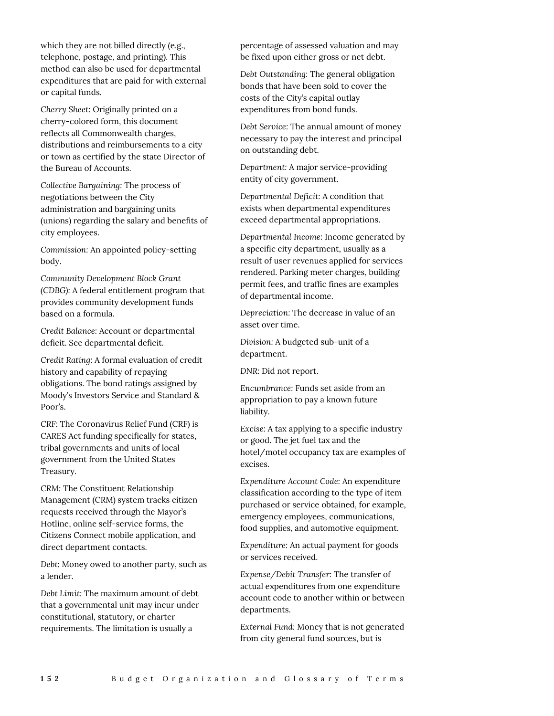which they are not billed directly (e.g., telephone, postage, and printing). This method can also be used for departmental expenditures that are paid for with external or capital funds.

*Cherry Sheet:* Originally printed on a cherry-colored form, this document reflects all Commonwealth charges, distributions and reimbursements to a city or town as certified by the state Director of the Bureau of Accounts.

*Collective Bargaining:* The process of negotiations between the City administration and bargaining units (unions) regarding the salary and benefits of city employees.

*Commission:* An appointed policy-setting body.

*Community Development Block Grant (CDBG):* A federal entitlement program that provides community development funds based on a formula.

*Credit Balance:* Account or departmental deficit. See departmental deficit.

*Credit Rating:* A formal evaluation of credit history and capability of repaying obligations. The bond ratings assigned by Moody's Investors Service and Standard & Poor's.

*CRF:* The Coronavirus Relief Fund (CRF) is CARES Act funding specifically for states, tribal governments and units of local government from the United States Treasury.

*CRM:* The Constituent Relationship Management (CRM) system tracks citizen requests received through the Mayor's Hotline, online self-service forms, the Citizens Connect mobile application, and direct department contacts.

*Debt:* Money owed to another party, such as a lender.

*Debt Limit:* The maximum amount of debt that a governmental unit may incur under constitutional, statutory, or charter requirements. The limitation is usually a

percentage of assessed valuation and may be fixed upon either gross or net debt.

*Debt Outstanding:* The general obligation bonds that have been sold to cover the costs of the City's capital outlay expenditures from bond funds.

*Debt Service:* The annual amount of money necessary to pay the interest and principal on outstanding debt.

*Department:* A major service-providing entity of city government.

*Departmental Deficit:* A condition that exists when departmental expenditures exceed departmental appropriations.

*Departmental Income:* Income generated by a specific city department, usually as a result of user revenues applied for services rendered. Parking meter charges, building permit fees, and traffic fines are examples of departmental income.

*Depreciation:* The decrease in value of an asset over time.

*Division:* A budgeted sub-unit of a department.

*DNR:* Did not report.

*Encumbrance:* Funds set aside from an appropriation to pay a known future liability.

*Excise:* A tax applying to a specific industry or good. The jet fuel tax and the hotel/motel occupancy tax are examples of excises.

*Expenditure Account Code:* An expenditure classification according to the type of item purchased or service obtained, for example, emergency employees, communications, food supplies, and automotive equipment.

*Expenditure:* An actual payment for goods or services received.

*Expense/Debit Transfer:* The transfer of actual expenditures from one expenditure account code to another within or between departments.

*External Fund:* Money that is not generated from city general fund sources, but is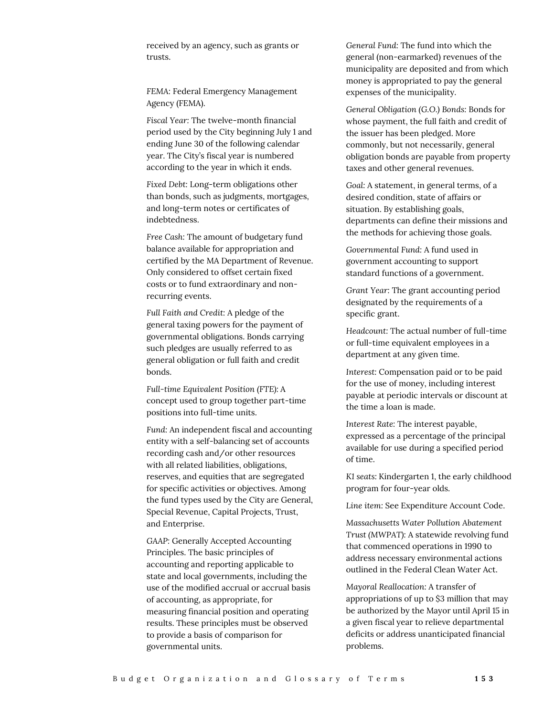received by an agency, such as grants or trusts.

*FEMA:* Federal Emergency Management Agency (FEMA).

*Fiscal Year:* The twelve-month financial period used by the City beginning July 1 and ending June 30 of the following calendar year. The City's fiscal year is numbered according to the year in which it ends.

*Fixed Debt:* Long-term obligations other than bonds, such as judgments, mortgages, and long-term notes or certificates of indebtedness.

*Free Cash:* The amount of budgetary fund balance available for appropriation and certified by the MA Department of Revenue. Only considered to offset certain fixed costs or to fund extraordinary and nonrecurring events.

*Full Faith and Credit:* A pledge of the general taxing powers for the payment of governmental obligations. Bonds carrying such pledges are usually referred to as general obligation or full faith and credit bonds.

*Full-time Equivalent Position (FTE):* A concept used to group together part-time positions into full-time units.

*Fund:* An independent fiscal and accounting entity with a self-balancing set of accounts recording cash and/or other resources with all related liabilities, obligations, reserves, and equities that are segregated for specific activities or objectives. Among the fund types used by the City are General, Special Revenue, Capital Projects, Trust, and Enterprise.

*GAAP:* Generally Accepted Accounting Principles. The basic principles of accounting and reporting applicable to state and local governments, including the use of the modified accrual or accrual basis of accounting, as appropriate, for measuring financial position and operating results. These principles must be observed to provide a basis of comparison for governmental units.

*General Fund:* The fund into which the general (non-earmarked) revenues of the municipality are deposited and from which money is appropriated to pay the general expenses of the municipality.

*General Obligation (G.O.) Bonds:* Bonds for whose payment, the full faith and credit of the issuer has been pledged. More commonly, but not necessarily, general obligation bonds are payable from property taxes and other general revenues.

*Goal:* A statement, in general terms, of a desired condition, state of affairs or situation. By establishing goals, departments can define their missions and the methods for achieving those goals.

*Governmental Fund:* A fund used in government accounting to support standard functions of a government.

*Grant Year:* The grant accounting period designated by the requirements of a specific grant.

*Headcount:* The actual number of full-time or full-time equivalent employees in a department at any given time.

*Interest:* Compensation paid or to be paid for the use of money, including interest payable at periodic intervals or discount at the time a loan is made.

*Interest Rate:* The interest payable, expressed as a percentage of the principal available for use during a specified period of time.

*K1 seats:* Kindergarten 1, the early childhood program for four-year olds.

*Line item:* See Expenditure Account Code.

*Massachusetts Water Pollution Abatement Trust (MWPAT):* A statewide revolving fund that commenced operations in 1990 to address necessary environmental actions outlined in the Federal Clean Water Act.

*Mayoral Reallocation:* A transfer of appropriations of up to \$3 million that may be authorized by the Mayor until April 15 in a given fiscal year to relieve departmental deficits or address unanticipated financial problems.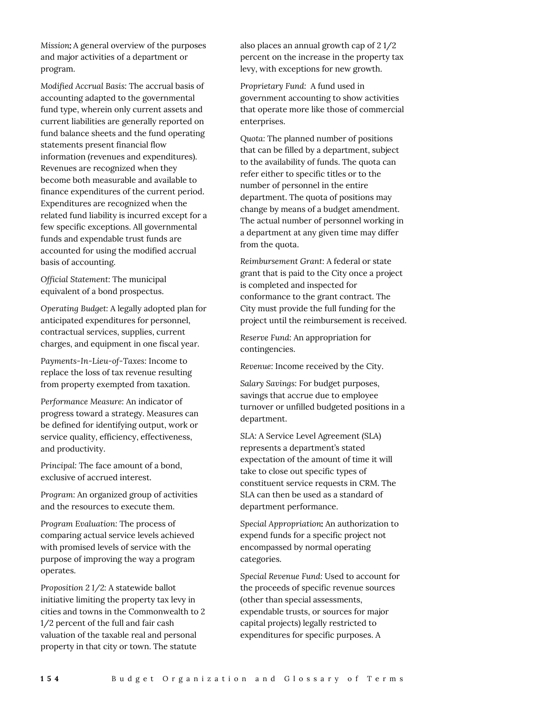*Mission: A general overview of the purposes* and major activities of a department or program.

*Modified Accrual Basis:* The accrual basis of accounting adapted to the governmental fund type, wherein only current assets and current liabilities are generally reported on fund balance sheets and the fund operating statements present financial flow information (revenues and expenditures). Revenues are recognized when they become both measurable and available to finance expenditures of the current period. Expenditures are recognized when the related fund liability is incurred except for a few specific exceptions. All governmental funds and expendable trust funds are accounted for using the modified accrual basis of accounting.

*Official Statement:* The municipal equivalent of a bond prospectus.

*Operating Budget:* A legally adopted plan for anticipated expenditures for personnel, contractual services, supplies, current charges, and equipment in one fiscal year.

*Payments-In-Lieu-of-Taxes:* Income to replace the loss of tax revenue resulting from property exempted from taxation.

*Performance Measure:* An indicator of progress toward a strategy. Measures can be defined for identifying output, work or service quality, efficiency, effectiveness, and productivity.

*Principal:* The face amount of a bond, exclusive of accrued interest.

*Program:* An organized group of activities and the resources to execute them.

*Program Evaluation:* The process of comparing actual service levels achieved with promised levels of service with the purpose of improving the way a program operates.

*Proposition 2 1/2:* A statewide ballot initiative limiting the property tax levy in cities and towns in the Commonwealth to 2 1/2 percent of the full and fair cash valuation of the taxable real and personal property in that city or town. The statute

also places an annual growth cap of 2 1/2 percent on the increase in the property tax levy, with exceptions for new growth.

*Proprietary Fund:* A fund used in government accounting to show activities that operate more like those of commercial enterprises.

*Quota:* The planned number of positions that can be filled by a department, subject to the availability of funds. The quota can refer either to specific titles or to the number of personnel in the entire department. The quota of positions may change by means of a budget amendment. The actual number of personnel working in a department at any given time may differ from the quota.

*Reimbursement Grant:* A federal or state grant that is paid to the City once a project is completed and inspected for conformance to the grant contract. The City must provide the full funding for the project until the reimbursement is received.

*Reserve Fund:* An appropriation for contingencies.

*Revenue:* Income received by the City.

*Salary Savings:* For budget purposes, savings that accrue due to employee turnover or unfilled budgeted positions in a department.

*SLA:* A Service Level Agreement (SLA) represents a department's stated expectation of the amount of time it will take to close out specific types of constituent service requests in CRM. The SLA can then be used as a standard of department performance.

Special Appropriation: An authorization to expend funds for a specific project not encompassed by normal operating categories.

*Special Revenue Fund:* Used to account for the proceeds of specific revenue sources (other than special assessments, expendable trusts, or sources for major capital projects) legally restricted to expenditures for specific purposes. A